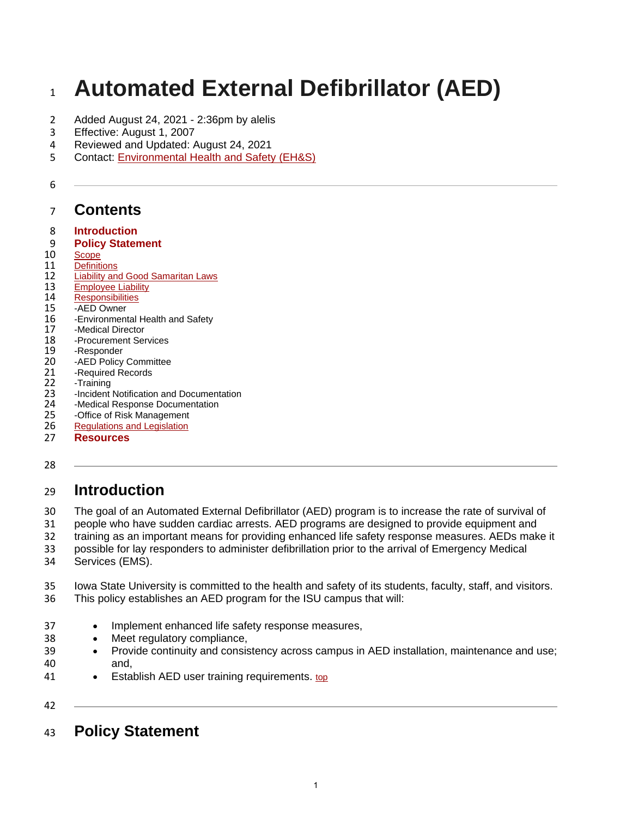# **Automated External Defibrillator (AED)**

- Added August 24, 2021 2:36pm by alelis
- Effective: August 1, 2007
- Reviewed and Updated: August 24, 2021
- Contact: [Environmental Health and Safety \(EH&S\)](http://www.ehs.iastate.edu/)

# **Contents**

- **[Introduction](https://www.policy.iastate.edu/policy/defibrillator#intro)**
- **[Policy Statement](https://www.policy.iastate.edu/policy/defibrillator#polstmt)**
- [Scope](https://www.policy.iastate.edu/policy/defibrillator#scope)<br>11 Definiti
- [Definitions](https://www.policy.iastate.edu/policy/defibrillator#definitions)<br>12 Liability an [Liability and Good Samaritan Laws](https://www.policy.iastate.edu/policy/defibrillator#liability)<br>13 Employee Liability
- [Employee Liability](https://www.policy.iastate.edu/policy/defibrillator#employee)<br>14 Responsibilities
- [Responsibilities](https://www.policy.iastate.edu/policy/defibrillator#resp)<br>15 -AED Owner
- 15 -AED Owner<br>16 Environment
- 16 Environmental Health and Safety<br>17 Medical Director
- 17 -Medical Director<br>18 Procurement Ser
- 18 Procurement Services<br>19 Responder
- 19 Responder<br>20 AED Policy
- 20 -AED Policy Committee<br>21 Required Records
- 21 Required Records<br>22 Training
- 22 -Training<br>23 -Incident
- 23 Incident Notification and Documentation<br>24 Medical Response Documentation
- 24 Medical Response Documentation<br>25 Office of Risk Management
- 25 -Office of Risk Management<br>26 Regulations and Legislation
- **[Regulations and Legislation](https://www.policy.iastate.edu/policy/defibrillator#regs)**
- **[Resources](https://www.policy.iastate.edu/policy/defibrillator#resources)**
- 

# **Introduction**

- The goal of an Automated External Defibrillator (AED) program is to increase the rate of survival of
- people who have sudden cardiac arrests. AED programs are designed to provide equipment and
- training as an important means for providing enhanced life safety response measures. AEDs make it
- possible for lay responders to administer defibrillation prior to the arrival of Emergency Medical
- Services (EMS).
- Iowa State University is committed to the health and safety of its students, faculty, staff, and visitors. This policy establishes an AED program for the ISU campus that will:
- Implement enhanced life safety response measures,
- Meet regulatory compliance,
- Provide continuity and consistency across campus in AED installation, maintenance and use; and,
- 41 Establish AED user training requirements. [top](https://www.policy.iastate.edu/policy/defibrillator#top)
- 
- **Policy Statement**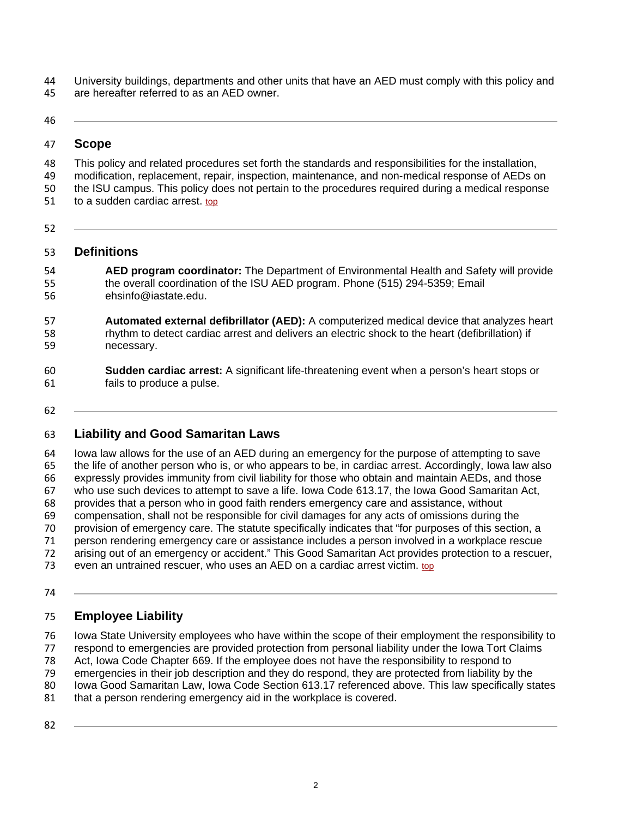University buildings, departments and other units that have an AED must comply with this policy and are hereafter referred to as an AED owner.

#### **Scope**

 This policy and related procedures set forth the standards and responsibilities for the installation, modification, replacement, repair, inspection, maintenance, and non-medical response of AEDs on the ISU campus. This policy does not pertain to the procedures required during a medical response 51 to a sudden cardiac arrest. [top](https://www.policy.iastate.edu/policy/defibrillator#top)

## **Definitions**

- **AED program coordinator:** The Department of Environmental Health and Safety will provide the overall coordination of the ISU AED program. Phone (515) 294-5359; Email ehsinfo@iastate.edu.
- **Automated external defibrillator (AED):** A computerized medical device that analyzes heart rhythm to detect cardiac arrest and delivers an electric shock to the heart (defibrillation) if necessary.
- **Sudden cardiac arrest:** A significant life-threatening event when a person's heart stops or fails to produce a pulse.
- 

# **Liability and Good Samaritan Laws**

 Iowa law allows for the use of an AED during an emergency for the purpose of attempting to save the life of another person who is, or who appears to be, in cardiac arrest. Accordingly, Iowa law also expressly provides immunity from civil liability for those who obtain and maintain AEDs, and those who use such devices to attempt to save a life. Iowa Code 613.17, the Iowa Good Samaritan Act, provides that a person who in good faith renders emergency care and assistance, without compensation, shall not be responsible for civil damages for any acts of omissions during the provision of emergency care. The statute specifically indicates that "for purposes of this section, a person rendering emergency care or assistance includes a person involved in a workplace rescue arising out of an emergency or accident." This Good Samaritan Act provides protection to a rescuer, 73 even an untrained rescuer, who uses an AED on a cardiac arrest victim.  $top$  $top$  $top$ </u>

## **Employee Liability**

 Iowa State University employees who have within the scope of their employment the responsibility to respond to emergencies are provided protection from personal liability under the Iowa Tort Claims

Act, Iowa Code Chapter 669. If the employee does not have the responsibility to respond to

- emergencies in their job description and they do respond, they are protected from liability by the
- Iowa Good Samaritan Law, Iowa Code Section 613.17 referenced above. This law specifically states
- 81 that a person rendering emergency aid in the workplace is covered.
-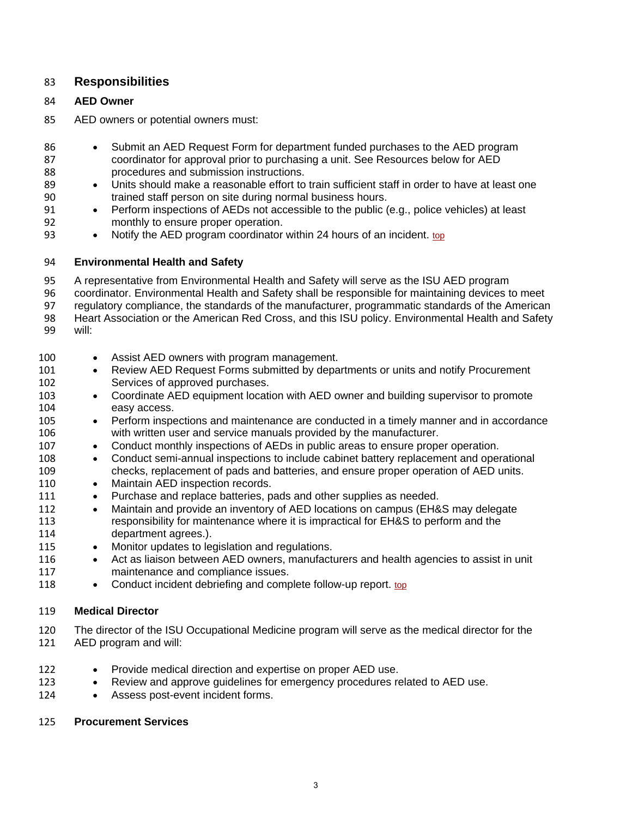## **Responsibilities**

#### **AED Owner**

- AED owners or potential owners must:
- Submit an AED Request Form for department funded purchases to the AED program coordinator for approval prior to purchasing a unit. See Resources below for AED procedures and submission instructions.
- Units should make a reasonable effort to train sufficient staff in order to have at least one trained staff person on site during normal business hours.
- Perform inspections of AEDs not accessible to the public (e.g., police vehicles) at least monthly to ensure proper operation.
- Notify the AED program coordinator within 24 hours of an incident. [top](https://www.policy.iastate.edu/policy/defibrillator#top)

#### **Environmental Health and Safety**

A representative from Environmental Health and Safety will serve as the ISU AED program

- coordinator. Environmental Health and Safety shall be responsible for maintaining devices to meet
- regulatory compliance, the standards of the manufacturer, programmatic standards of the American 98 Heart Association or the American Red Cross, and this ISU policy. Environmental Health and Safety
- will:
- 100 Assist AED owners with program management. 101 • Review AED Request Forms submitted by departments or units and notify Procurement Services of approved purchases. • Coordinate AED equipment location with AED owner and building supervisor to promote easy access. • Perform inspections and maintenance are conducted in a timely manner and in accordance with written user and service manuals provided by the manufacturer. • Conduct monthly inspections of AEDs in public areas to ensure proper operation. • Conduct semi-annual inspections to include cabinet battery replacement and operational checks, replacement of pads and batteries, and ensure proper operation of AED units. 110 • Maintain AED inspection records. 111 • Purchase and replace batteries, pads and other supplies as needed. • Maintain and provide an inventory of AED locations on campus (EH&S may delegate responsibility for maintenance where it is impractical for EH&S to perform and the department agrees.). 115 • Monitor updates to legislation and regulations.
- 116 Act as liaison between AED owners, manufacturers and health agencies to assist in unit maintenance and compliance issues.
- 118 Conduct incident debriefing and complete follow-up report. [top](https://www.policy.iastate.edu/policy/defibrillator#top)

#### **Medical Director**

 The director of the ISU Occupational Medicine program will serve as the medical director for the AED program and will:

- 122 Provide medical direction and expertise on proper AED use.
- 123 Review and approve guidelines for emergency procedures related to AED use.
- 124 Assess post-event incident forms.

#### **Procurement Services**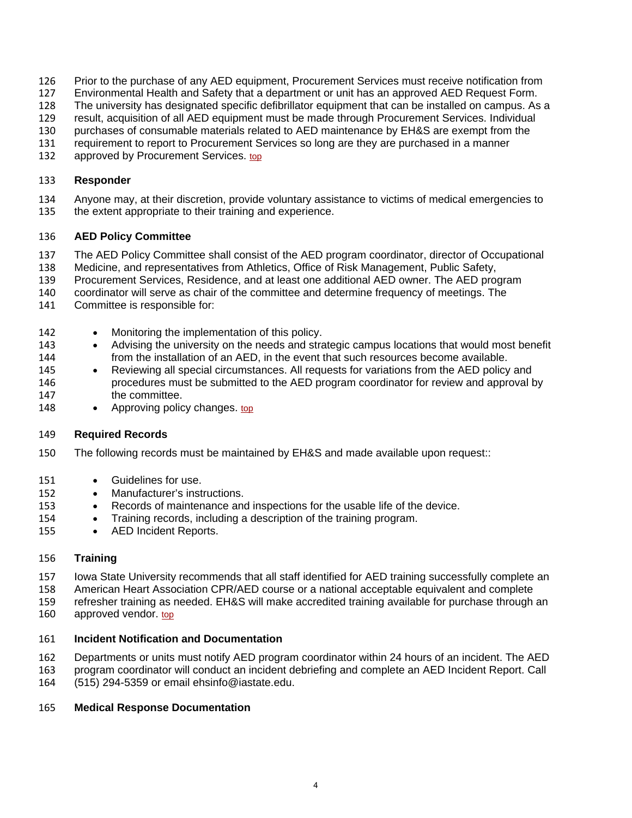- Prior to the purchase of any AED equipment, Procurement Services must receive notification from
- Environmental Health and Safety that a department or unit has an approved AED Request Form.
- The university has designated specific defibrillator equipment that can be installed on campus. As a
- result, acquisition of all AED equipment must be made through Procurement Services. Individual
- purchases of consumable materials related to AED maintenance by EH&S are exempt from the
- requirement to report to Procurement Services so long are they are purchased in a manner
- 132 approved by Procurement Services. [top](https://www.policy.iastate.edu/policy/defibrillator#top)

#### **Responder**

- Anyone may, at their discretion, provide voluntary assistance to victims of medical emergencies to
- the extent appropriate to their training and experience.

#### **AED Policy Committee**

- The AED Policy Committee shall consist of the AED program coordinator, director of Occupational
- Medicine, and representatives from Athletics, Office of Risk Management, Public Safety,
- Procurement Services, Residence, and at least one additional AED owner. The AED program
- coordinator will serve as chair of the committee and determine frequency of meetings. The
- Committee is responsible for:
- Monitoring the implementation of this policy.
- Advising the university on the needs and strategic campus locations that would most benefit from the installation of an AED, in the event that such resources become available.
- 145 Reviewing all special circumstances. All requests for variations from the AED policy and procedures must be submitted to the AED program coordinator for review and approval by the committee.
- 148 Approving policy changes. [top](https://www.policy.iastate.edu/policy/defibrillator#top)

#### **Required Records**

- The following records must be maintained by EH&S and made available upon request::
- Guidelines for use.
- 152 Manufacturer's instructions.
- Records of maintenance and inspections for the usable life of the device.
- Training records, including a description of the training program.
- 155 AED Incident Reports.

#### **Training**

- Iowa State University recommends that all staff identified for AED training successfully complete an
- American Heart Association CPR/AED course or a national acceptable equivalent and complete
- refresher training as needed. EH&S will make accredited training available for purchase through an
- 160 approved vendor. [top](https://www.policy.iastate.edu/policy/defibrillator#top)

#### **Incident Notification and Documentation**

- Departments or units must notify AED program coordinator within 24 hours of an incident. The AED
- program coordinator will conduct an incident debriefing and complete an AED Incident Report. Call
- (515) 294-5359 or email ehsinfo@iastate.edu.

#### **Medical Response Documentation**